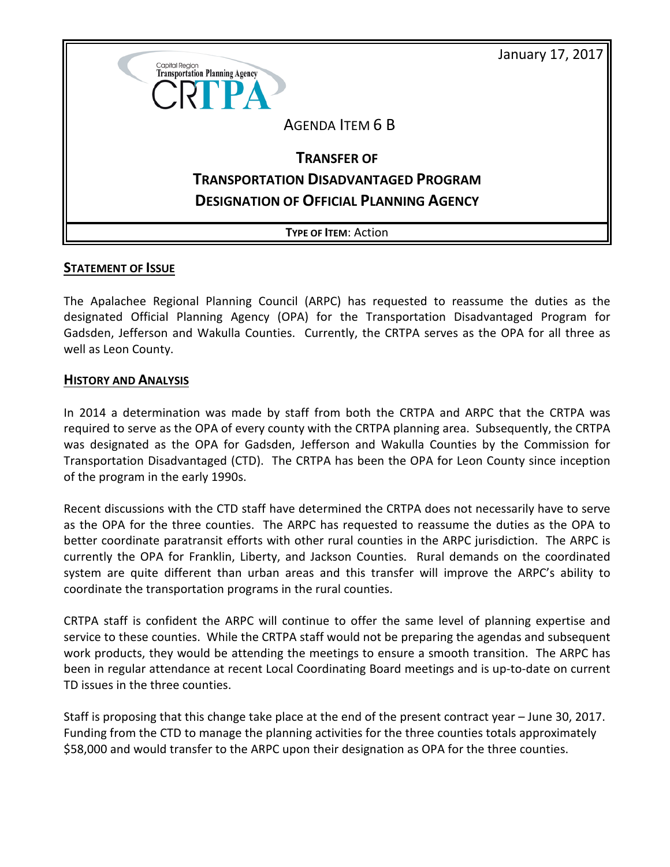

## **STATEMENT OF ISSUE**

The Apalachee Regional Planning Council (ARPC) has requested to reassume the duties as the designated Official Planning Agency (OPA) for the Transportation Disadvantaged Program for Gadsden, Jefferson and Wakulla Counties. Currently, the CRTPA serves as the OPA for all three as well as Leon County.

## **HISTORY AND ANALYSIS**

In 2014 a determination was made by staff from both the CRTPA and ARPC that the CRTPA was required to serve as the OPA of every county with the CRTPA planning area. Subsequently, the CRTPA was designated as the OPA for Gadsden, Jefferson and Wakulla Counties by the Commission for Transportation Disadvantaged (CTD). The CRTPA has been the OPA for Leon County since inception of the program in the early 1990s.

Recent discussions with the CTD staff have determined the CRTPA does not necessarily have to serve as the OPA for the three counties. The ARPC has requested to reassume the duties as the OPA to better coordinate paratransit efforts with other rural counties in the ARPC jurisdiction. The ARPC is currently the OPA for Franklin, Liberty, and Jackson Counties. Rural demands on the coordinated system are quite different than urban areas and this transfer will improve the ARPC's ability to coordinate the transportation programs in the rural counties.

CRTPA staff is confident the ARPC will continue to offer the same level of planning expertise and service to these counties. While the CRTPA staff would not be preparing the agendas and subsequent work products, they would be attending the meetings to ensure a smooth transition. The ARPC has been in regular attendance at recent Local Coordinating Board meetings and is up-to-date on current TD issues in the three counties.

Staff is proposing that this change take place at the end of the present contract year – June 30, 2017. Funding from the CTD to manage the planning activities for the three counties totals approximately \$58,000 and would transfer to the ARPC upon their designation as OPA for the three counties.